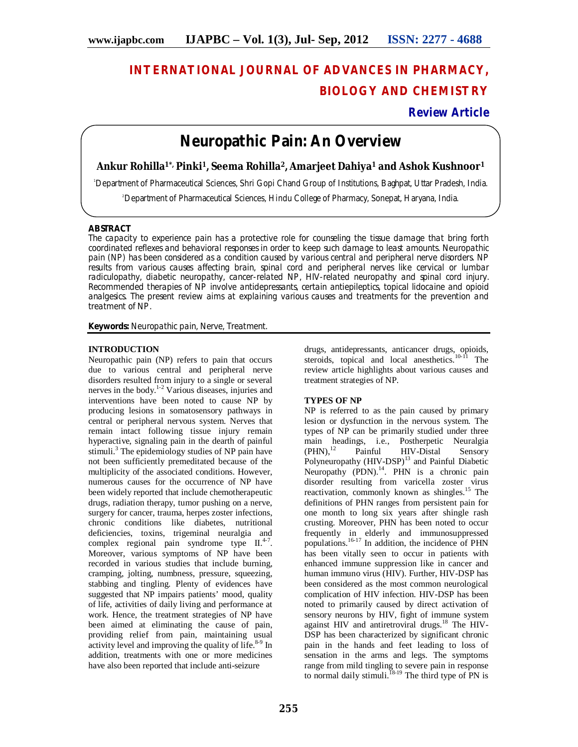# **INTERNATIONAL JOURNAL OF ADVANCES IN PHARMACY, BIOLOGY AND CHEMISTRY**

### **Review Article**

## **Neuropathic Pain: An Overview**

**Ankur Rohilla1\*, Pinki1, Seema Rohilla2, Amarjeet Dahiya<sup>1</sup> and Ashok Kushnoor<sup>1</sup>**

<sup>1</sup>Department of Pharmaceutical Sciences, Shri Gopi Chand Group of Institutions, Baghpat, Uttar Pradesh, India.

<sup>2</sup>Department of Pharmaceutical Sciences, Hindu College of Pharmacy, Sonepat, Haryana, India.

#### **ABSTRACT**

The capacity to experience pain has a protective role for counseling the tissue damage that bring forth coordinated reflexes and behavioral responses in order to keep such damage to least amounts. Neuropathic pain (NP) has been considered as a condition caused by various central and peripheral nerve disorders. NP results from various causes affecting brain, spinal cord and peripheral nerves like cervical or lumbar radiculopathy, diabetic neuropathy, cancer-related NP, HIV-related neuropathy and spinal cord injury. Recommended therapies of NP involve antidepressants, certain antiepileptics, topical lidocaine and opioid analgesics. The present review aims at explaining various causes and treatments for the prevention and treatment of NP.

**Keywords:** Neuropathic pain, Nerve, Treatment.

#### **INTRODUCTION**

Neuropathic pain (NP) refers to pain that occurs due to various central and peripheral nerve disorders resulted from injury to a single or several nerves in the body. 1-2 Various diseases, injuries and interventions have been noted to cause NP by producing lesions in somatosensory pathways in central or peripheral nervous system. Nerves that remain intact following tissue injury remain hyperactive, signaling pain in the dearth of painful stimuli. <sup>3</sup> The epidemiology studies of NP pain have not been sufficiently premeditated because of the multiplicity of the associated conditions. However, numerous causes for the occurrence of NP have been widely reported that include chemotherapeutic drugs, radiation therapy, tumor pushing on a nerve, surgery for cancer, trauma, herpes zoster infections, chronic conditions like diabetes, nutritional deficiencies, toxins, trigeminal neuralgia and complex regional pain syndrome type II.<sup>4-7</sup>. Moreover, various symptoms of NP have been recorded in various studies that include burning, cramping, jolting, numbness, pressure, squeezing, stabbing and tingling. Plenty of evidences have suggested that NP impairs patients' mood, quality of life, activities of daily living and performance at work. Hence, the treatment strategies of NP have been aimed at eliminating the cause of pain, providing relief from pain, maintaining usual activity level and improving the quality of life.<sup>8-9</sup> In addition, treatments with one or more medicines have also been reported that include anti-seizure

drugs, antidepressants, anticancer drugs, opioids, steroids, topical and local anesthetics.<sup>10-11</sup> The review article highlights about various causes and treatment strategies of NP.

#### **TYPES OF NP**

NP is referred to as the pain caused by primary lesion or dysfunction in the nervous system. The types of NP can be primarily studied under three main headings, i.e., Postherpetic Neuralgia<br>(PHN),<sup>12</sup> Painful HIV-Distal Sensory  $(PHN).$ <sup>12</sup> HIV-Distal Sensory Polyneuropathy (HIV-DSP)<sup>13</sup> and Painful Diabetic Neuropathy (PDN).<sup>14</sup>. PHN is a chronic pain disorder resulting from varicella zoster virus reactivation, commonly known as shingles.<sup>15</sup> The definitions of PHN ranges from persistent pain for one month to long six years after shingle rash crusting. Moreover, PHN has been noted to occur frequently in elderly and immunosuppressed populations. 16-17 In addition, the incidence of PHN has been vitally seen to occur in patients with enhanced immune suppression like in cancer and human immuno virus (HIV). Further, HIV-DSP has been considered as the most common neurological complication of HIV infection. HIV-DSP has been noted to primarily caused by direct activation of sensory neurons by HIV, fight of immune system against HIV and antiretroviral drugs.<sup>18</sup> The HIV-DSP has been characterized by significant chronic pain in the hands and feet leading to loss of sensation in the arms and legs. The symptoms range from mild tingling to severe pain in response to normal daily stimuli.<sup>18-19</sup> The third type of PN is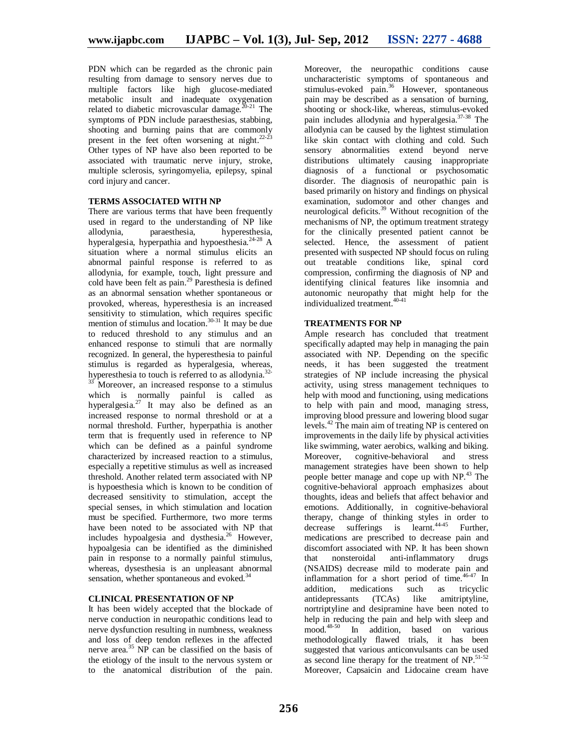PDN which can be regarded as the chronic pain resulting from damage to sensory nerves due to multiple factors like high glucose-mediated metabolic insult and inadequate oxygenation related to diabetic microvascular damage.<sup>20-21</sup> The symptoms of PDN include paraesthesias, stabbing, shooting and burning pains that are commonly present in the feet often worsening at night. $22-23$ Other types of NP have also been reported to be associated with traumatic nerve injury, stroke, multiple sclerosis, syringomyelia, epilepsy, spinal cord injury and cancer.

#### **TERMS ASSOCIATED WITH NP**

There are various terms that have been frequently used in regard to the understanding of NP like allodynia, paraesthesia, hyperesthesia, hyperalgesia, hyperpathia and hypoesthesia. 24-28 A situation where a normal stimulus elicits an abnormal painful response is referred to as allodynia, for example, touch, light pressure and cold have been felt as pain. <sup>29</sup> Paresthesia is defined as an abnormal sensation whether spontaneous or provoked, whereas, hyperesthesia is an increased sensitivity to stimulation, which requires specific mention of stimulus and location.<sup>30-31</sup> It may be due to reduced threshold to any stimulus and an enhanced response to stimuli that are normally recognized. In general, the hyperesthesia to painful stimulus is regarded as hyperalgesia, whereas, hyperesthesia to touch is referred to as allodynia.<sup>32-</sup>

Moreover, an increased response to a stimulus which is normally painful is called as hyperalgesia.<sup>27</sup> It may also be defined as an increased response to normal threshold or at a normal threshold. Further, hyperpathia is another term that is frequently used in reference to NP which can be defined as a painful syndrome characterized by increased reaction to a stimulus, especially a repetitive stimulus as well as increased threshold. Another related term associated with NP is hypoesthesia which is known to be condition of decreased sensitivity to stimulation, accept the special senses, in which stimulation and location must be specified. Furthermore, two more terms have been noted to be associated with NP that includes hypoalgesia and dysthesia. <sup>26</sup> However, hypoalgesia can be identified as the diminished pain in response to a normally painful stimulus, whereas, dysesthesia is an unpleasant abnormal sensation, whether spontaneous and evoked.<sup>34</sup>

#### **CLINICAL PRESENTATION OF NP**

It has been widely accepted that the blockade of nerve conduction in neuropathic conditions lead to nerve dysfunction resulting in numbness, weakness and loss of deep tendon reflexes in the affected nerve area. <sup>35</sup> NP can be classified on the basis of the etiology of the insult to the nervous system or to the anatomical distribution of the pain.

Moreover, the neuropathic conditions cause uncharacteristic symptoms of spontaneous and stimulus-evoked pain.<sup>36</sup> However, spontaneous pain may be described as a sensation of burning, shooting or shock-like, whereas, stimulus-evoked pain includes allodynia and hyperalgesia. 37-38 The allodynia can be caused by the lightest stimulation like skin contact with clothing and cold. Such sensory abnormalities extend beyond nerve distributions ultimately causing inappropriate diagnosis of a functional or psychosomatic disorder. The diagnosis of neuropathic pain is based primarily on history and findings on physical examination, sudomotor and other changes and neurological deficits. <sup>39</sup> Without recognition of the mechanisms of NP, the optimum treatment strategy for the clinically presented patient cannot be selected. Hence, the assessment of patient presented with suspected NP should focus on ruling out treatable conditions like, spinal cord compression, confirming the diagnosis of NP and identifying clinical features like insomnia and autonomic neuropathy that might help for the individualized treatment. 40-41

#### **TREATMENTS FOR NP**

Ample research has concluded that treatment specifically adapted may help in managing the pain associated with NP. Depending on the specific needs, it has been suggested the treatment strategies of NP include increasing the physical activity, using stress management techniques to help with mood and functioning, using medications to help with pain and mood, managing stress, improving blood pressure and lowering blood sugar levels. <sup>42</sup> The main aim of treating NP is centered on improvements in the daily life by physical activities like swimming, water aerobics, walking and biking. Moreover, cognitive-behavioral and stress management strategies have been shown to help people better manage and cope up with NP. <sup>43</sup> The cognitive-behavioral approach emphasizes about thoughts, ideas and beliefs that affect behavior and emotions. Additionally, in cognitive-behavioral therapy, change of thinking styles in order to decrease sufferings is learnt. 44-45 Further, medications are prescribed to decrease pain and discomfort associated with NP. It has been shown that nonsteroidal anti-inflammatory drugs (NSAIDS) decrease mild to moderate pain and inflammation for a short period of time. 46-47 In addition, medications such as tricyclic antidepressants (TCAs) like amitriptyline, nortriptyline and desipramine have been noted to help in reducing the pain and help with sleep and mood. 48-50 In addition, based on various methodologically flawed trials, it has been suggested that various anticonvulsants can be used as second line therapy for the treatment of NP.<sup>51-52</sup> Moreover, Capsaicin and Lidocaine cream have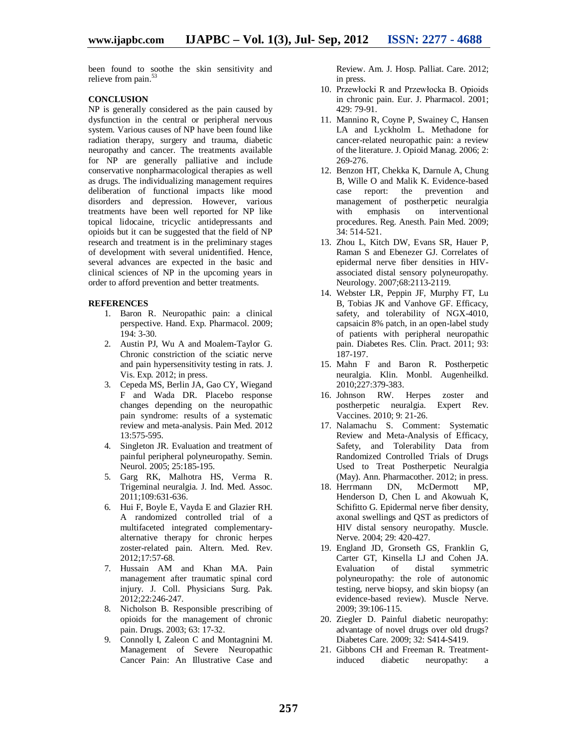been found to soothe the skin sensitivity and relieve from pain.<sup>53</sup>

#### **CONCLUSION**

NP is generally considered as the pain caused by dysfunction in the central or peripheral nervous system. Various causes of NP have been found like radiation therapy, surgery and trauma, diabetic neuropathy and cancer. The treatments available for NP are generally palliative and include conservative nonpharmacological therapies as well as drugs. The individualizing management requires deliberation of functional impacts like mood disorders and depression. However, various treatments have been well reported for NP like topical lidocaine, tricyclic antidepressants and opioids but it can be suggested that the field of NP research and treatment is in the preliminary stages of development with several unidentified. Hence, several advances are expected in the basic and clinical sciences of NP in the upcoming years in order to afford prevention and better treatments.

#### **REFERENCES**

- 1. Baron R. Neuropathic pain: a clinical perspective. Hand. Exp. Pharmacol. 2009; 194: 3-30.
- 2. Austin PJ, Wu A and Moalem-Taylor G. Chronic constriction of the sciatic nerve and pain hypersensitivity testing in rats. J. Vis. Exp. 2012; in press.
- 3. Cepeda MS, Berlin JA, Gao CY, Wiegand F and Wada DR. Placebo response changes depending on the neuropathic pain syndrome: results of a systematic review and meta-analysis. Pain Med. 2012 13:575-595.
- 4. Singleton JR. Evaluation and treatment of painful peripheral polyneuropathy. Semin. Neurol. 2005; 25:185-195.
- 5. Garg RK, Malhotra HS, Verma R. Trigeminal neuralgia. J. Ind. Med. Assoc. 2011;109:631-636.
- 6. Hui F, Boyle E, Vayda E and Glazier RH. A randomized controlled trial of a multifaceted integrated complementaryalternative therapy for chronic herpes zoster-related pain. Altern. Med. Rev. 2012;17:57-68.
- 7. Hussain AM and Khan MA. Pain management after traumatic spinal cord injury. J. Coll. Physicians Surg. Pak. 2012;22:246-247.
- 8. Nicholson B. Responsible prescribing of opioids for the management of chronic pain. Drugs. 2003; 63: 17-32.
- 9. Connolly I, Zaleon C and Montagnini M. Management of Severe Neuropathic Cancer Pain: An Illustrative Case and

Review. Am. J. Hosp. Palliat. Care. 2012; in press.

- 10. Przewłocki R and Przewłocka B. Opioids in chronic pain. Eur. J. Pharmacol. 2001; 429: 79-91.
- 11. Mannino R, Coyne P, Swainey C, Hansen LA and Lyckholm L. Methadone for cancer-related neuropathic pain: a review of the literature. J. Opioid Manag. 2006; 2: 269-276.
- 12. Benzon HT, Chekka K, Darnule A, Chung B, Wille O and Malik K. Evidence-based case report: the prevention and management of postherpetic neuralgia with emphasis on interventional procedures. Reg. Anesth. Pain Med. 2009; 34: 514-521.
- 13. Zhou L, Kitch DW, Evans SR, Hauer P, Raman S and Ebenezer GJ. Correlates of epidermal nerve fiber densities in HIVassociated distal sensory polyneuropathy. Neurology. 2007;68:2113-2119.
- 14. Webster LR, Peppin JF, Murphy FT, Lu B, Tobias JK and Vanhove GF. Efficacy, safety, and tolerability of NGX-4010, capsaicin 8% patch, in an open-label study of patients with peripheral neuropathic pain. Diabetes Res. Clin. Pract. 2011; 93: 187-197.
- 15. Mahn F and Baron R. Postherpetic neuralgia. Klin. Monbl. Augenheilkd. 2010;227:379-383.
- 16. Johnson RW. Herpes zoster and postherpetic neuralgia. Expert Rev. Vaccines. 2010; 9: 21-26.
- 17. Nalamachu S. Comment: Systematic Review and Meta-Analysis of Efficacy, Safety, and Tolerability Data from Randomized Controlled Trials of Drugs Used to Treat Postherpetic Neuralgia (May). Ann. Pharmacother. 2012; in press.<br>Herrmann DN. McDermott MP.
- 18. Herrmann DN, McDermott Henderson D, Chen L and Akowuah K, Schifitto G. Epidermal nerve fiber density, axonal swellings and QST as predictors of HIV distal sensory neuropathy. Muscle. Nerve. 2004; 29: 420-427.
- 19. England JD, Gronseth GS, Franklin G, Carter GT, Kinsella LJ and Cohen JA. Evaluation of distal symmetric polyneuropathy: the role of autonomic testing, nerve biopsy, and skin biopsy (an evidence-based review). Muscle Nerve. 2009; 39:106-115.
- 20. Ziegler D. Painful diabetic neuropathy: advantage of novel drugs over old drugs? Diabetes Care. 2009; 32: S414-S419.
- 21. Gibbons CH and Freeman R. Treatmentinduced diabetic neuropathy: a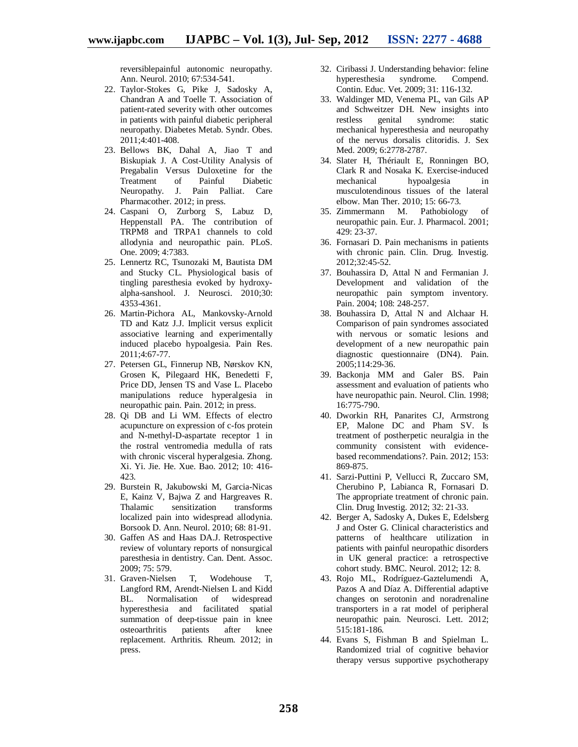reversiblepainful autonomic neuropathy. Ann. Neurol. 2010; 67:534-541.

- 22. Taylor-Stokes G, Pike J, Sadosky A, Chandran A and Toelle T. Association of patient-rated severity with other outcomes in patients with painful diabetic peripheral neuropathy. Diabetes Metab. Syndr. Obes. 2011;4:401-408.
- 23. Bellows BK, Dahal A, Jiao T and Biskupiak J. A Cost-Utility Analysis of Pregabalin Versus Duloxetine for the<br>Treatment of Painful Diabetic Treatment of Painful Diabetic Neuropathy. J. Pain Palliat. Care Pharmacother. 2012; in press.
- 24. Caspani O, Zurborg S, Labuz D, Heppenstall PA. The contribution of TRPM8 and TRPA1 channels to cold allodynia and neuropathic pain. PLoS. One. 2009; 4:7383.
- 25. Lennertz RC, Tsunozaki M, Bautista DM and Stucky CL. Physiological basis of tingling paresthesia evoked by hydroxyalpha-sanshool. J. Neurosci. 2010;30: 4353-4361.
- 26. Martin-Pichora AL, Mankovsky-Arnold TD and Katz J.J. Implicit versus explicit associative learning and experimentally induced placebo hypoalgesia. Pain Res. 2011;4:67-77.
- 27. Petersen GL, Finnerup NB, Nørskov KN, Grosen K, Pilegaard HK, Benedetti F, Price DD, Jensen TS and Vase L. Placebo manipulations reduce hyperalgesia in neuropathic pain. Pain. 2012; in press.
- 28. Qi DB and Li WM. Effects of electro acupuncture on expression of c-fos protein and N-methyl-D-aspartate receptor 1 in the rostral ventromedia medulla of rats with chronic visceral hyperalgesia. Zhong. Xi. Yi. Jie. He. Xue. Bao. 2012; 10: 416- 423.
- 29. Burstein R, Jakubowski M, Garcia-Nicas E, Kainz V, Bajwa Z and Hargreaves R. Thalamic sensitization transforms localized pain into widespread allodynia. Borsook D. Ann. Neurol. 2010; 68: 81-91.
- 30. Gaffen AS and Haas DA.J. Retrospective review of voluntary reports of nonsurgical paresthesia in dentistry. Can. Dent. Assoc. 2009; 75: 579.
- 31. Graven-Nielsen T, Wodehouse T, Langford RM, Arendt-Nielsen L and Kidd BL. Normalisation of widespread hyperesthesia and facilitated spatial summation of deep-tissue pain in knee osteoarthritis patients after knee replacement. Arthritis. Rheum. 2012; in press.
- 32. Ciribassi J. Understanding behavior: feline hyperesthesia syndrome. Compend. Contin. Educ. Vet. 2009; 31: 116-132.
- 33. Waldinger MD, Venema PL, van Gils AP and Schweitzer DH. New insights into<br>restless genital syndrome: static restless genital syndrome: static mechanical hyperesthesia and neuropathy of the nervus dorsalis clitoridis. J. Sex Med. 2009; 6:2778-2787.
- 34. Slater H, Thériault E, Ronningen BO, Clark R and Nosaka K. Exercise-induced mechanical hypoalgesia in musculotendinous tissues of the lateral elbow. Man Ther. 2010; 15: 66-73.
- 35. Zimmermann M. Pathobiology of neuropathic pain. Eur. J. Pharmacol. 2001; 429: 23-37.
- 36. Fornasari D. Pain mechanisms in patients with chronic pain. Clin. Drug. Investig. 2012;32:45-52.
- 37. Bouhassira D, Attal N and Fermanian J. Development and validation of the neuropathic pain symptom inventory. Pain. 2004; 108: 248-257.
- 38. Bouhassira D, Attal N and Alchaar H. Comparison of pain syndromes associated with nervous or somatic lesions and development of a new neuropathic pain diagnostic questionnaire (DN4). Pain. 2005;114:29-36.
- 39. Backonja MM and Galer BS. Pain assessment and evaluation of patients who have neuropathic pain. Neurol. Clin. 1998; 16:775-790.
- 40. Dworkin RH, Panarites CJ, Armstrong EP, Malone DC and Pham SV. Is treatment of postherpetic neuralgia in the community consistent with evidencebased recommendations?. Pain. 2012; 153: 869-875.
- 41. Sarzi-Puttini P, Vellucci R, Zuccaro SM, Cherubino P, Labianca R, Fornasari D. The appropriate treatment of chronic pain. Clin. Drug Investig. 2012; 32: 21-33.
- 42. Berger A, Sadosky A, Dukes E, Edelsberg J and Oster G. Clinical characteristics and patterns of healthcare utilization in patients with painful neuropathic disorders in UK general practice: a retrospective cohort study. BMC. Neurol. 2012; 12: 8.
- 43. Rojo ML, Rodríguez-Gaztelumendi A, Pazos A and Díaz A. Differential adaptive changes on serotonin and noradrenaline transporters in a rat model of peripheral neuropathic pain. Neurosci. Lett. 2012; 515:181-186.
- 44. Evans S, Fishman B and Spielman L. Randomized trial of cognitive behavior therapy versus supportive psychotherapy